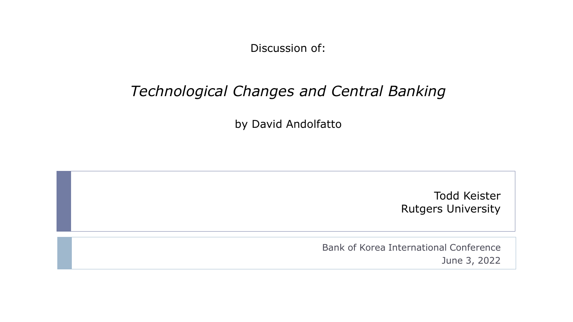Discussion of:

## *Technological Changes and Central Banking*

by David Andolfatto

Todd Keister Rutgers University

Bank of Korea International Conference June 3, 2022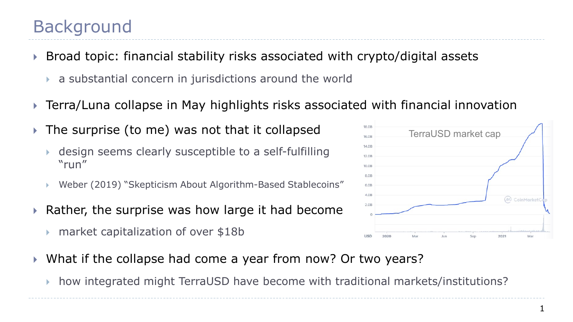1

- Broad topic: financial stability risks associated with crypto/digital assets
	- a substantial concern in jurisdictions around the world
- Terra/Luna collapse in May highlights risks associated with financial innovation
- The surprise (to me) was not that it collapsed
	- design seems clearly susceptible to a self-fulfilling "run"
	- Weber (2019) "Skepticism About Algorithm-Based Stablecoins"
- $\triangleright$  Rather, the surprise was how large it had become
	- market capitalization of over \$18b
- What if the collapse had come a year from now? Or two years?
	- how integrated might TerraUSD have become with traditional markets/institutions?

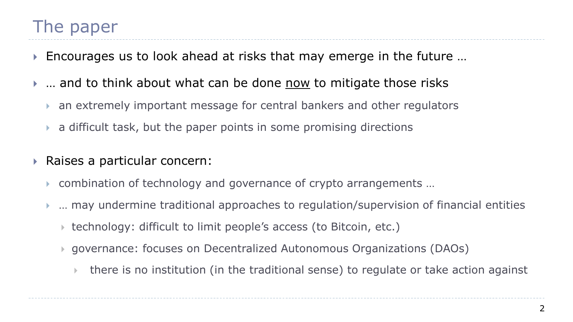- Encourages us to look ahead at risks that may emerge in the future …
- ▶ ... and to think about what can be done now to mitigate those risks
	- an extremely important message for central bankers and other regulators
	- a difficult task, but the paper points in some promising directions
- Raises a particular concern:
	- combination of technology and governance of crypto arrangements …
	- … may undermine traditional approaches to regulation/supervision of financial entities
		- ▶ technology: difficult to limit people's access (to Bitcoin, etc.)
		- governance: focuses on Decentralized Autonomous Organizations (DAOs)
			- there is no institution (in the traditional sense) to regulate or take action against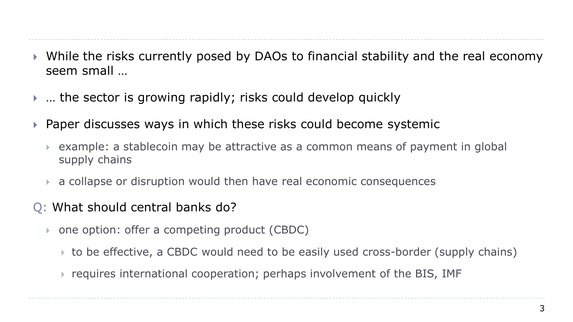- While the risks currently posed by DAOs to financial stability and the real economy seem small …
- … the sector is growing rapidly; risks could develop quickly
- Paper discusses ways in which these risks could become systemic
	- example: a stablecoin may be attractive as a common means of payment in global supply chains
	- a collapse or disruption would then have real economic consequences
- Q: What should central banks do?
	- one option: offer a competing product (CBDC)
		- to be effective, a CBDC would need to be easily used cross-border (supply chains)
		- requires international cooperation; perhaps involvement of the BIS, IMF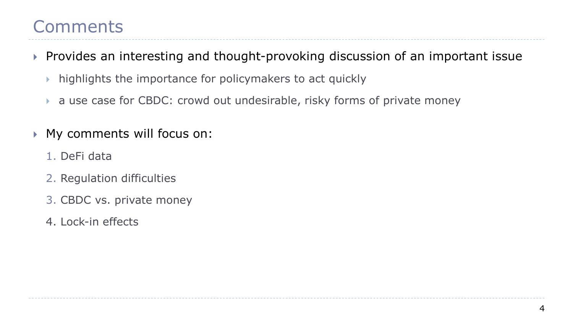- Provides an interesting and thought-provoking discussion of an important issue
	- highlights the importance for policymakers to act quickly
	- a use case for CBDC: crowd out undesirable, risky forms of private money
- My comments will focus on:
	- 1. DeFi data
	- 2. Regulation difficulties
	- 3. CBDC vs. private money
	- 4. Lock-in effects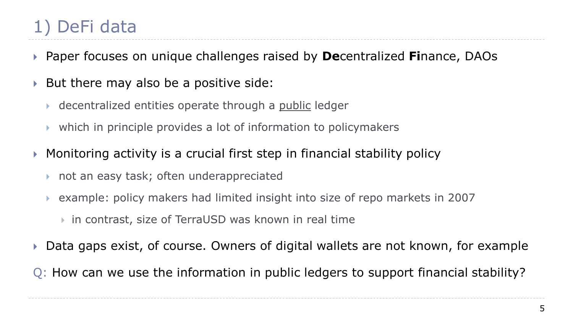- Paper focuses on unique challenges raised by **De**centralized **Fi**nance, DAOs
- ▶ But there may also be a positive side:
	- decentralized entities operate through a public ledger
	- which in principle provides a lot of information to policymakers
- Monitoring activity is a crucial first step in financial stability policy
	- not an easy task; often underappreciated
	- example: policy makers had limited insight into size of repo markets in 2007
		- in contrast, size of TerraUSD was known in real time
- ▶ Data gaps exist, of course. Owners of digital wallets are not known, for example
- Q: How can we use the information in public ledgers to support financial stability?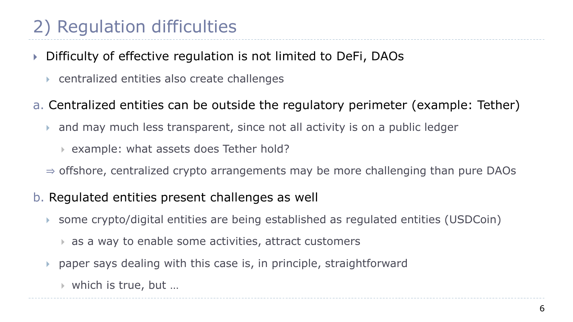## 2) Regulation difficulties

- Difficulty of effective regulation is not limited to DeFi, DAOs
	- centralized entities also create challenges
- a. Centralized entities can be outside the regulatory perimeter (example: Tether)
	- and may much less transparent, since not all activity is on a public ledger
		- example: what assets does Tether hold?
	- $\Rightarrow$  offshore, centralized crypto arrangements may be more challenging than pure DAOs
- b. Regulated entities present challenges as well
	- some crypto/digital entities are being established as regulated entities (USDCoin)
		- as a way to enable some activities, attract customers
	- paper says dealing with this case is, in principle, straightforward
		- which is true, but …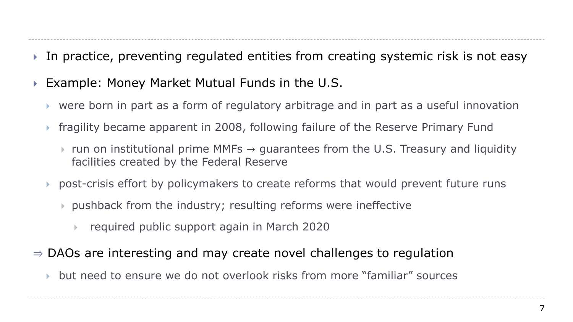- In practice, preventing regulated entities from creating systemic risk is not easy
- ▶ Example: Money Market Mutual Funds in the U.S.
	- were born in part as a form of regulatory arbitrage and in part as a useful innovation
	- fragility became apparent in 2008, following failure of the Reserve Primary Fund
		- $\triangleright$  run on institutional prime MMFs  $\rightarrow$  guarantees from the U.S. Treasury and liquidity facilities created by the Federal Reserve
	- post-crisis effort by policymakers to create reforms that would prevent future runs
		- pushback from the industry; resulting reforms were ineffective
			- required public support again in March 2020
- $\Rightarrow$  DAOs are interesting and may create novel challenges to regulation
	- but need to ensure we do not overlook risks from more "familiar" sources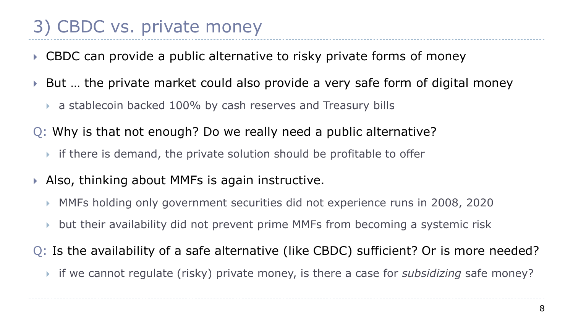## 3) CBDC vs. private money

- ▶ CBDC can provide a public alternative to risky private forms of money
- ▶ But ... the private market could also provide a very safe form of digital money
	- a stablecoin backed 100% by cash reserves and Treasury bills
- Q: Why is that not enough? Do we really need a public alternative?
	- if there is demand, the private solution should be profitable to offer
- ▶ Also, thinking about MMFs is again instructive.
	- MMFs holding only government securities did not experience runs in 2008, 2020
	- but their availability did not prevent prime MMFs from becoming a systemic risk
- Q: Is the availability of a safe alternative (like CBDC) sufficient? Or is more needed?
	- if we cannot regulate (risky) private money, is there a case for *subsidizing* safe money?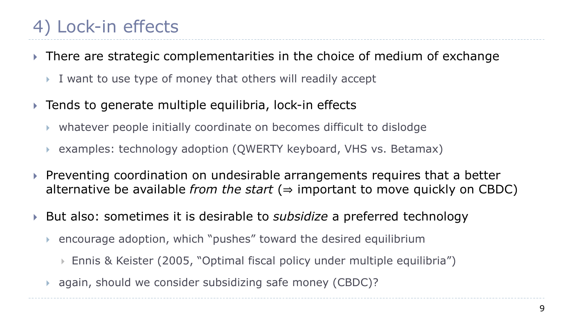- ▶ There are strategic complementarities in the choice of medium of exchange
	- I want to use type of money that others will readily accept
- ▶ Tends to generate multiple equilibria, lock-in effects
	- whatever people initially coordinate on becomes difficult to dislodge
	- examples: technology adoption (QWERTY keyboard, VHS vs. Betamax)
- $\triangleright$  Preventing coordination on undesirable arrangements requires that a better alternative be available *from the start* ( $\Rightarrow$  important to move quickly on CBDC)
- ▶ But also: sometimes it is desirable to *subsidize* a preferred technology
	- encourage adoption, which "pushes" toward the desired equilibrium
		- Ennis & Keister (2005, "Optimal fiscal policy under multiple equilibria")
	- again, should we consider subsidizing safe money (CBDC)?